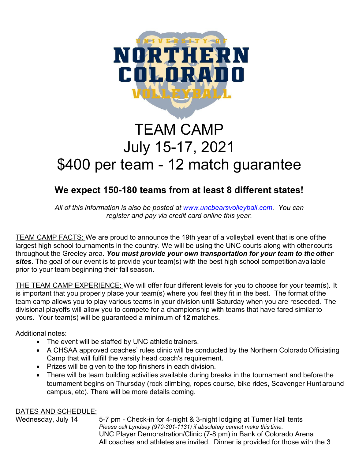

# TEAM CAMP July 15-17, 2021 \$400 per team - 12 match guarantee

## **We expect 150-180 teams from at least 8 different states!**

*All of this information is also be posted at www.uncbearsvolleyball.com. You can register and pay via credit card online this year.*

TEAM CAMP FACTS: We are proud to announce the 19th year of a volleyball event that is one of the largest high school tournaments in the country. We will be using the UNC courts along with other courts throughout the Greeley area. *You must provide your own transportation for your team to the other sites*. The goal of our event is to provide your team(s) with the best high school competition available prior to your team beginning their fall season.

THE TEAM CAMP EXPERIENCE: We will offer four different levels for you to choose for your team(s). It is important that you properly place your team(s) where you feel they fit in the best. The format of the team camp allows you to play various teams in your division until Saturday when you are reseeded. The divisional playoffs will allow you to compete for a championship with teams that have fared similar to yours. Your team(s) will be guaranteed a minimum of **12** matches.

Additional notes:

- The event will be staffed by UNC athletic trainers.
- A CHSAA approved coaches' rules clinic will be conducted by the Northern Colorado Officiating Camp that will fulfill the varsity head coach's requirement.
- Prizes will be given to the top finishers in each division.
- There will be team building activities available during breaks in the tournament and before the tournament begins on Thursday (rock climbing, ropes course, bike rides, Scavenger Hunt around campus, etc). There will be more details coming.

**DATES AND SCHEDULE:**<br>Wednesday, July 14 5-7 pm - Check-in for 4-night & 3-night lodging at Turner Hall tents *Please call Lyndsey (970-301-1131) if absolutely cannot make this time.* UNC Player Demonstration/Clinic (7-8 pm) in Bank of Colorado Arena All coaches and athletes are invited. Dinner is provided for those with the 3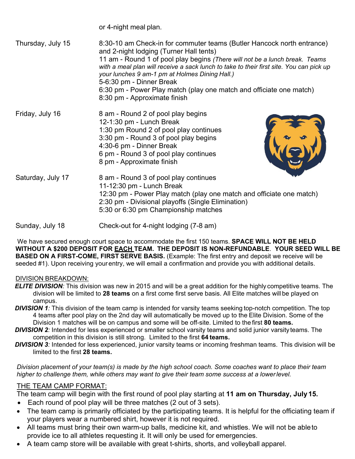or 4-night meal plan.

8:30 pm - Approximate finish

Thursday, July 15 8:30-10 am Check-in for commuter teams (Butler Hancock north entrance) and 2-night lodging (Turner Hall tents) 11 am - Round 1 of pool play begins *(There will not be a lunch break. Teams with a meal plan will receive a sack lunch to take to their first site. You can pick up your lunches 9 am-1 pm at Holmes Dining Hall.)* 5-6:30 pm - Dinner Break 6:30 pm - Power Play match (play one match and officiate one match)

Friday, July 16 8 am - Round 2 of pool play begins 12-1:30 pm - Lunch Break 1:30 pm Round 2 of pool play continues 3:30 pm - Round 3 of pool play begins 4:30-6 pm - Dinner Break 6 pm - Round 3 of pool play continues 8 pm - Approximate finish



Saturday, July 17 8 am - Round 3 of pool play continues 11-12:30 pm - Lunch Break 12:30 pm - Power Play match (play one match and officiate one match) 2:30 pm - Divisional playoffs (Single Elimination) 5:30 or 6:30 pm Championship matches

Sunday, July 18 Check-out for 4-night lodging (7-8 am)

We have secured enough court space to accommodate the first 150 teams. **SPACE WILL NOT BE HELD WITHOUT A \$200 DEPOSIT FOR EACH TEAM. THE DEPOSIT IS NON-REFUNDABLE**. **YOUR SEED WILL BE BASED ON A FIRST-COME, FIRST SERVE BASIS.** (Example: The first entry and deposit we receive will be seeded #1). Upon receiving your entry, we will email a confirmation and provide you with additional details.

#### DIVISION BREAKDOWN:

- *ELITE DIVISION:* This division was new in 2015 and will be a great addition for the highly competitive teams. The division will be limited to **28 teams** on a first come first serve basis. All Elite matches will be played on campus.
- **DIVISION 1***:* This division of the team camp is intended for varsity teams seeking top-notch competition. The top 4 teams after pool play on the 2nd day will automatically be moved up to the Elite Division. Some of the Division 1 matches will be on campus and some will be off-site. Limited to the first **80 teams.**
- *DIVISION 2*: Intended for less experienced or smaller school varsity teams and solid junior varsity teams. The competition in this division is still strong. Limited to the first **64 teams.**
- *DIVISION 3:* Intended for less experienced, junior varsity teams or incoming freshman teams. This division will be limited to the first **28 teams.**

*Division placement of your team(s) is made by the high school coach. Some coaches want to place their team higher to challenge them, while others may want to give their team some success at a lower level.* 

### THE TEAM CAMP FORMAT:

The team camp will begin with the first round of pool play starting at **11 am on Thursday, July 15.** 

- Each round of pool play will be three matches (2 out of 3 sets).
- The team camp is primarily officiated by the participating teams. It is helpful for the officiating team if your players wear a numbered shirt, however it is not required.
- All teams must bring their own warm-up balls, medicine kit, and whistles. We will not be able to provide ice to all athletes requesting it. It will only be used for emergencies.
- A team camp store will be available with great t-shirts, shorts, and volleyball apparel.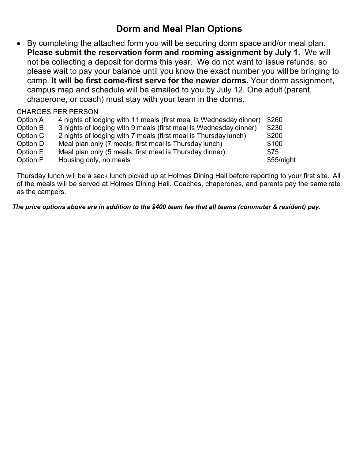## **Dorm and Meal Plan Options**

 By completing the attached form you will be securing dorm space and/or meal plan. **Please submit the reservation form and rooming assignment by July 1.** We will not be collecting a deposit for dorms this year. We do not want to issue refunds, so please wait to pay your balance until you know the exact number you will be bringing to camp. **It will be first come-first serve for the newer dorms.** Your dorm assignment, campus map and schedule will be emailed to you by July 12. One adult (parent, chaperone, or coach) must stay with your team in the dorms.

### CHARGES PER PERSON

| Option A | 4 nights of lodging with 11 meals (first meal is Wednesday dinner) | \$260      |
|----------|--------------------------------------------------------------------|------------|
| Option B | 3 nights of lodging with 9 meals (first meal is Wednesday dinner)  | \$230      |
| Option C | 2 nights of lodging with 7 meals (first meal is Thursday lunch)    | \$200      |
| Option D | Meal plan only (7 meals, first meal is Thursday lunch)             | \$100      |
| Option E | Meal plan only (5 meals, first meal is Thursday dinner)            | \$75       |
| Option F | Housing only, no meals                                             | \$55/night |

Thursday lunch will be a sack lunch picked up at Holmes Dining Hall before reporting to your first site. All of the meals will be served at Holmes Dining Hall. Coaches, chaperones, and parents pay the same rate as the campers.

*The price options above are in addition to the \$400 team fee that all teams (commuter & resident) pay*.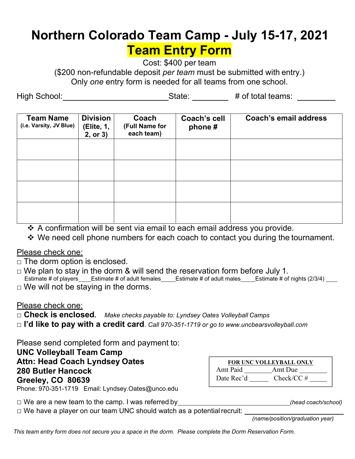# **Northern Colorado Team Camp - July 15-17, 2021 Team Entry Form**

Cost: \$400 per team

(\$200 non-refundable deposit *per team* must be submitted with entry.) Only *one* entry form is needed for all teams from one school.

High School: \_\_\_\_\_\_\_\_\_\_\_\_\_\_\_\_\_\_\_\_\_\_\_\_\_\_\_\_\_\_State: \_\_\_\_\_\_\_\_\_ # of total teams: \_\_\_\_\_\_\_\_

| <b>Team Name</b><br>(i.e. Varsity, JV Blue) | <b>Division</b><br>(Elite, 1,<br>2, or 3) | Coach<br>(Full Name for<br>each team) | <b>Coach's cell</b><br>phone# | <b>Coach's email address</b> |
|---------------------------------------------|-------------------------------------------|---------------------------------------|-------------------------------|------------------------------|
|                                             |                                           |                                       |                               |                              |
|                                             |                                           |                                       |                               |                              |
|                                             |                                           |                                       |                               |                              |
|                                             |                                           |                                       |                               |                              |

- A confirmation will be sent via email to each email address you provide.
- ◆ We need cell phone numbers for each coach to contact you during the tournament.

### Please check one:

- $\Box$  The dorm option is enclosed.
- $\Box$  We plan to stay in the dorm & will send the reservation form before July 1. Estimate # of players Estimate # of adult females Estimate # of adult males Estimate # of nights (2/3/4)
- $\Box$  We will not be staying in the dorms.

### Please check one:

- □ **Check is enclosed.** *Make checks payable to: Lyndsey Oates Volleyball Camps*
- □ **I'd like to pay with a credit card**. *Call 970-351-1719 or go to www.uncbearsvolleyball.com*

Please send completed form and payment to:

**UNC Volleyball Team Camp Attn: Head Coach Lyndsey Oates 280 Butler Hancock Greeley, CO 80639** Phone: 970-351-1719 Email: Lyndsey.Oates@unco.edu

| <b>FOR UNC VOLLEYBALL ONLY</b> |               |  |  |  |  |
|--------------------------------|---------------|--|--|--|--|
| Amt Paid                       | Amt Due       |  |  |  |  |
| Date Rec'd                     | $Check/CC \#$ |  |  |  |  |
|                                |               |  |  |  |  |

□ We are a new team to the camp. I was referred by *(head coach/school)*

 $\Box$  We have a player on our team UNC should watch as a potential recruit:  $\Box$ 

*(name/position/graduation year)* 

*This team entry form does not secure you a space in the dorm. Please complete the Dorm Reservation Form.*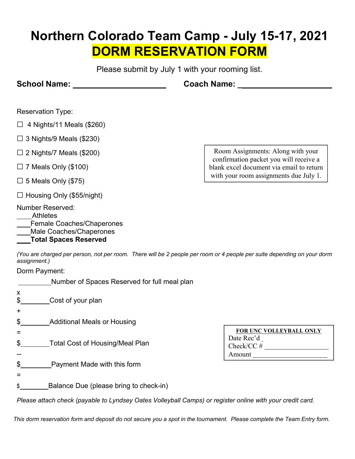# **Northern Colorado Team Camp - July 15-17, 2021 DORM RESERVATION FORM**

Please submit by July 1 with your rooming list.

**School Name: Coach Name: \_** 

Reservation Type:

- $\Box$  4 Nights/11 Meals (\$260)
- $\Box$  3 Nights/9 Meals (\$230)
- $\Box$  2 Nights/7 Meals (\$200)
- $\Box$  7 Meals Only (\$100)
- $\Box$  5 Meals Only (\$75)
- $\Box$  Housing Only (\$55/night)
- Number Reserved:
- Athletes
- Female Coaches/Chaperones
- Male Coaches/Chaperones

 **Total Spaces Reserved**

Room Assignments: Along with your confirmation packet you will receive a blank excel document via email to return with your room assignments due July 1.

*(You are charged per person, not per room. There will be 2 people per room or 4 people per suite depending on your dorm assignment.)*

Dorm Payment:

**Number of Spaces Reserved for full meal plan** 

| $\boldsymbol{\mathsf{X}}$<br>\$<br>$\pm$                                                                 | Cost of your plan                      |                                                              |  |  |
|----------------------------------------------------------------------------------------------------------|----------------------------------------|--------------------------------------------------------------|--|--|
| \$                                                                                                       | <b>Additional Meals or Housing</b>     |                                                              |  |  |
| $\boldsymbol{\mathsf{S}}$                                                                                | <b>Total Cost of Housing/Meal Plan</b> | FOR UNC VOLLEYBALL ONLY<br>Date Rec'd<br>Check/CC#<br>Amount |  |  |
| $\boldsymbol{\mathsf{S}}$                                                                                | Payment Made with this form            |                                                              |  |  |
|                                                                                                          |                                        |                                                              |  |  |
| \$                                                                                                       | Balance Due (please bring to check-in) |                                                              |  |  |
| Please attach check (payable to Lyndsey Oates Volleyhall Camps) or register opline with your credit card |                                        |                                                              |  |  |

*Please attach check (payable to Lyndsey Oates Volleyball Camps) or register online with your credit card.*

*This dorm reservation form and deposit do not secure you a spot in the tournament. Please complete the Team Entry form.*